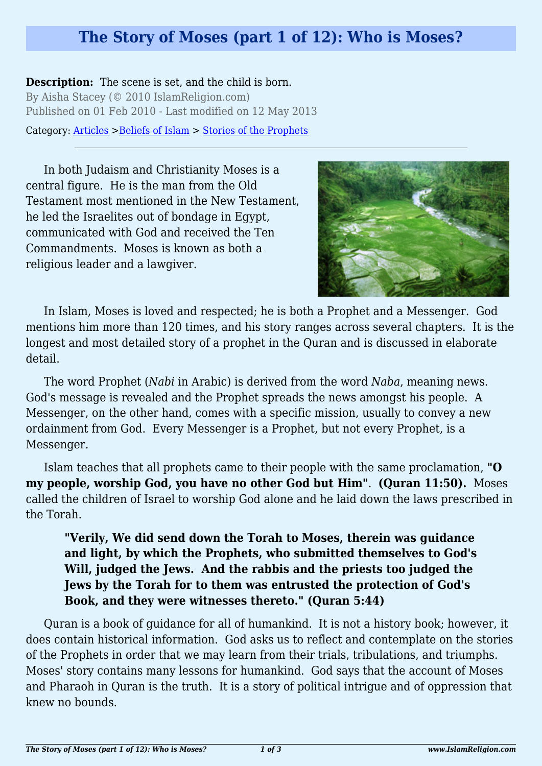## **The Story of Moses (part 1 of 12): Who is Moses?**

**Description:** The scene is set, and the child is born. By Aisha Stacey (© 2010 IslamReligion.com) Published on 01 Feb 2010 - Last modified on 12 May 2013

Category: [Articles](http://www.islamreligion.com/articles/) >[Beliefs of Islam](http://www.islamreligion.com/category/48/) > [Stories of the Prophets](http://www.islamreligion.com/category/53/)

In both Judaism and Christianity Moses is a central figure. He is the man from the Old Testament most mentioned in the New Testament, he led the Israelites out of bondage in Egypt, communicated with God and received the Ten Commandments. Moses is known as both a religious leader and a lawgiver.



In Islam, Moses is loved and respected; he is both a Prophet and a Messenger. God mentions him more than 120 times, and his story ranges across several chapters. It is the longest and most detailed story of a prophet in the Quran and is discussed in elaborate detail.

The word Prophet (*Nabi* in Arabic) is derived from the word *Naba*, meaning news. God's message is revealed and the Prophet spreads the news amongst his people. A Messenger, on the other hand, comes with a specific mission, usually to convey a new ordainment from God. Every Messenger is a Prophet, but not every Prophet, is a Messenger.

Islam teaches that all prophets came to their people with the same proclamation, **"O my people, worship God, you have no other God but Him"**. **(Quran 11:50).** Moses called the children of Israel to worship God alone and he laid down the laws prescribed in the Torah.

## **"Verily, We did send down the Torah to Moses, therein was guidance and light, by which the Prophets, who submitted themselves to God's Will, judged the Jews. And the rabbis and the priests too judged the Jews by the Torah for to them was entrusted the protection of God's Book, and they were witnesses thereto." (Quran 5:44)**

Quran is a book of guidance for all of humankind. It is not a history book; however, it does contain historical information. God asks us to reflect and contemplate on the stories of the Prophets in order that we may learn from their trials, tribulations, and triumphs. Moses' story contains many lessons for humankind. God says that the account of Moses and Pharaoh in Quran is the truth. It is a story of political intrigue and of oppression that knew no bounds.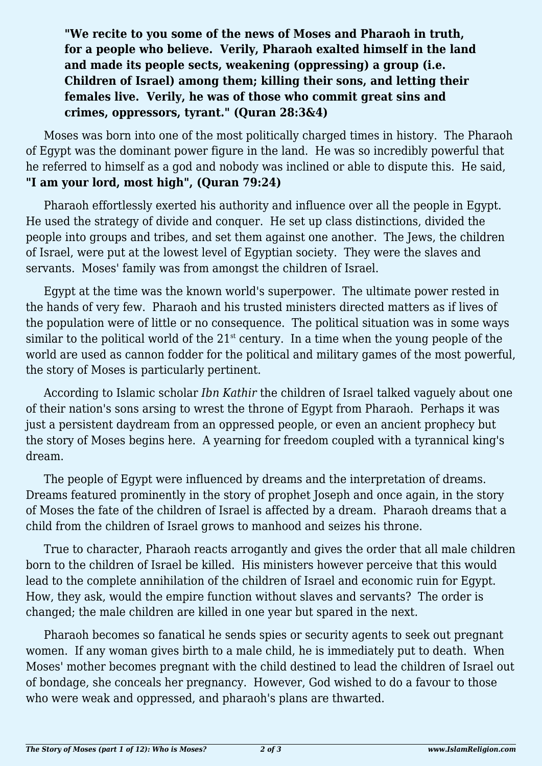## **"We recite to you some of the news of Moses and Pharaoh in truth, for a people who believe. Verily, Pharaoh exalted himself in the land and made its people sects, weakening (oppressing) a group (i.e. Children of Israel) among them; killing their sons, and letting their females live. Verily, he was of those who commit great sins and crimes, oppressors, tyrant." (Quran 28:3&4)**

Moses was born into one of the most politically charged times in history. The Pharaoh of Egypt was the dominant power figure in the land. He was so incredibly powerful that he referred to himself as a god and nobody was inclined or able to dispute this. He said, **"I am your lord, most high", (Quran 79:24)**

Pharaoh effortlessly exerted his authority and influence over all the people in Egypt. He used the strategy of divide and conquer. He set up class distinctions, divided the people into groups and tribes, and set them against one another. The Jews, the children of Israel, were put at the lowest level of Egyptian society. They were the slaves and servants. Moses' family was from amongst the children of Israel.

Egypt at the time was the known world's superpower. The ultimate power rested in the hands of very few. Pharaoh and his trusted ministers directed matters as if lives of the population were of little or no consequence. The political situation was in some ways similar to the political world of the  $21<sup>st</sup>$  century. In a time when the young people of the world are used as cannon fodder for the political and military games of the most powerful, the story of Moses is particularly pertinent.

According to Islamic scholar *Ibn Kathir* the children of Israel talked vaguely about one of their nation's sons arsing to wrest the throne of Egypt from Pharaoh. Perhaps it was just a persistent daydream from an oppressed people, or even an ancient prophecy but the story of Moses begins here. A yearning for freedom coupled with a tyrannical king's dream.

The people of Egypt were influenced by dreams and the interpretation of dreams. Dreams featured prominently in the story of prophet Joseph and once again, in the story of Moses the fate of the children of Israel is affected by a dream. Pharaoh dreams that a child from the children of Israel grows to manhood and seizes his throne.

True to character, Pharaoh reacts arrogantly and gives the order that all male children born to the children of Israel be killed. His ministers however perceive that this would lead to the complete annihilation of the children of Israel and economic ruin for Egypt. How, they ask, would the empire function without slaves and servants? The order is changed; the male children are killed in one year but spared in the next.

Pharaoh becomes so fanatical he sends spies or security agents to seek out pregnant women. If any woman gives birth to a male child, he is immediately put to death. When Moses' mother becomes pregnant with the child destined to lead the children of Israel out of bondage, she conceals her pregnancy. However, God wished to do a favour to those who were weak and oppressed, and pharaoh's plans are thwarted.